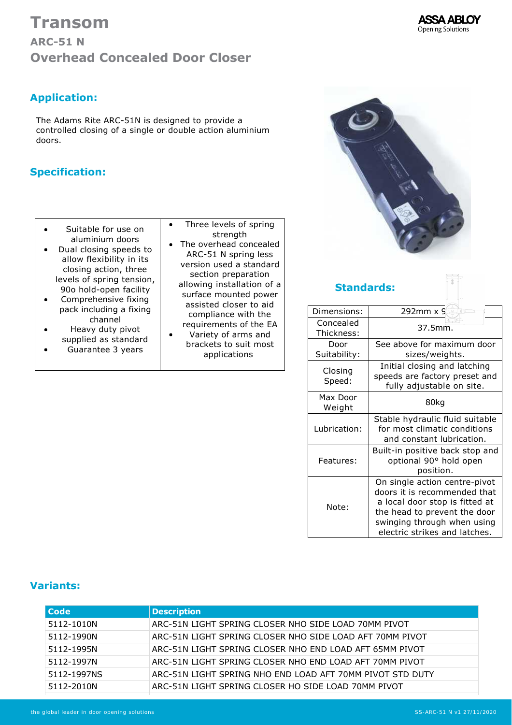



## **Application:**

The Adams Rite ARC-51N is designed to provide a controlled closing of a single or double action aluminium doors.

### **Specification:**

- Suitable for use on aluminium doors
- $\bullet$ Dual closing speeds to allow flexibility in its closing action, three levels of spring tension, 90o hold-open facility
- $\bullet$ Comprehensive fixing pack including a fixing channel
- Heavy duty pivot  $\bullet$ supplied as standard
- Guarantee 3 years  $\bullet$
- Three levels of spring  $\bullet$ strength • The overhead concealed ARC-51 N spring less version used a standard section preparation allowing installation of a surface mounted power assisted closer to aid compliance with the requirements of the EA Variety of arms and  $\bullet$ brackets to suit most applications



### **Standards:**

| Dimensions:             | 292mm x 9                                                                                                                                                                                       |  |  |
|-------------------------|-------------------------------------------------------------------------------------------------------------------------------------------------------------------------------------------------|--|--|
| Concealed<br>Thickness: | 37.5mm.                                                                                                                                                                                         |  |  |
| Door<br>Suitability:    | See above for maximum door<br>sizes/weights.                                                                                                                                                    |  |  |
| Closing<br>Speed:       | Initial closing and latching<br>speeds are factory preset and<br>fully adjustable on site.                                                                                                      |  |  |
| Max Door<br>Weight      | 80kg                                                                                                                                                                                            |  |  |
| Lubrication:            | Stable hydraulic fluid suitable<br>for most climatic conditions<br>and constant lubrication.                                                                                                    |  |  |
| Features:               | Built-in positive back stop and<br>optional 90° hold open<br>position.                                                                                                                          |  |  |
| Note:                   | On single action centre-pivot<br>doors it is recommended that<br>a local door stop is fitted at<br>the head to prevent the door<br>swinging through when using<br>electric strikes and latches. |  |  |

#### **Variants:**

| Code        | <b>Description</b>                                        |
|-------------|-----------------------------------------------------------|
| 5112-1010N  | ARC-51N LIGHT SPRING CLOSER NHO SIDE LOAD 70MM PIVOT      |
| 5112-1990N  | ARC-51N LIGHT SPRING CLOSER NHO SIDE LOAD AFT 70MM PIVOT  |
| 5112-1995N  | ARC-51N LIGHT SPRING CLOSER NHO END LOAD AFT 65MM PIVOT   |
| 5112-1997N  | ARC-51N LIGHT SPRING CLOSER NHO END LOAD AFT 70MM PIVOT   |
| 5112-1997NS | ARC-51N LIGHT SPRING NHO END LOAD AFT 70MM PIVOT STD DUTY |
| 5112-2010N  | ARC-51N LIGHT SPRING CLOSER HO SIDE LOAD 70MM PIVOT       |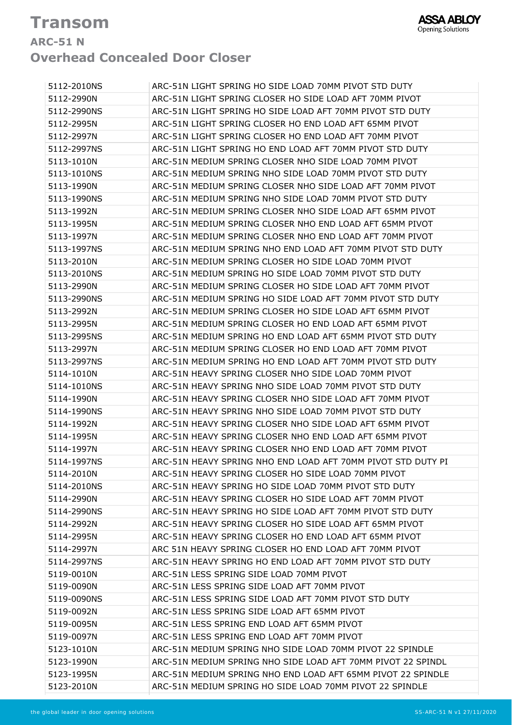# **Transom ARC51 N Overhead Concealed Door Closer**

| 5112-2010NS | ARC-51N LIGHT SPRING HO SIDE LOAD 70MM PIVOT STD DUTY        |
|-------------|--------------------------------------------------------------|
| 5112-2990N  | ARC-51N LIGHT SPRING CLOSER HO SIDE LOAD AFT 70MM PIVOT      |
| 5112-2990NS | ARC-51N LIGHT SPRING HO SIDE LOAD AFT 70MM PIVOT STD DUTY    |
| 5112-2995N  | ARC-51N LIGHT SPRING CLOSER HO END LOAD AFT 65MM PIVOT       |
| 5112-2997N  | ARC-51N LIGHT SPRING CLOSER HO END LOAD AFT 70MM PIVOT       |
| 5112-2997NS | ARC-51N LIGHT SPRING HO END LOAD AFT 70MM PIVOT STD DUTY     |
| 5113-1010N  | ARC-51N MEDIUM SPRING CLOSER NHO SIDE LOAD 70MM PIVOT        |
| 5113-1010NS | ARC-51N MEDIUM SPRING NHO SIDE LOAD 70MM PIVOT STD DUTY      |
| 5113-1990N  | ARC-51N MEDIUM SPRING CLOSER NHO SIDE LOAD AFT 70MM PIVOT    |
| 5113-1990NS | ARC-51N MEDIUM SPRING NHO SIDE LOAD 70MM PIVOT STD DUTY      |
| 5113-1992N  | ARC-51N MEDIUM SPRING CLOSER NHO SIDE LOAD AFT 65MM PIVOT    |
| 5113-1995N  | ARC-51N MEDIUM SPRING CLOSER NHO END LOAD AFT 65MM PIVOT     |
| 5113-1997N  | ARC-51N MEDIUM SPRING CLOSER NHO END LOAD AFT 70MM PIVOT     |
| 5113-1997NS | ARC-51N MEDIUM SPRING NHO END LOAD AFT 70MM PIVOT STD DUTY   |
| 5113-2010N  | ARC-51N MEDIUM SPRING CLOSER HO SIDE LOAD 70MM PIVOT         |
| 5113-2010NS | ARC-51N MEDIUM SPRING HO SIDE LOAD 70MM PIVOT STD DUTY       |
| 5113-2990N  | ARC-51N MEDIUM SPRING CLOSER HO SIDE LOAD AFT 70MM PIVOT     |
| 5113-2990NS | ARC-51N MEDIUM SPRING HO SIDE LOAD AFT 70MM PIVOT STD DUTY   |
| 5113-2992N  | ARC-51N MEDIUM SPRING CLOSER HO SIDE LOAD AFT 65MM PIVOT     |
| 5113-2995N  | ARC-51N MEDIUM SPRING CLOSER HO END LOAD AFT 65MM PIVOT      |
| 5113-2995NS | ARC-51N MEDIUM SPRING HO END LOAD AFT 65MM PIVOT STD DUTY    |
| 5113-2997N  | ARC-51N MEDIUM SPRING CLOSER HO END LOAD AFT 70MM PIVOT      |
| 5113-2997NS | ARC-51N MEDIUM SPRING HO END LOAD AFT 70MM PIVOT STD DUTY    |
| 5114-1010N  | ARC-51N HEAVY SPRING CLOSER NHO SIDE LOAD 70MM PIVOT         |
| 5114-1010NS | ARC-51N HEAVY SPRING NHO SIDE LOAD 70MM PIVOT STD DUTY       |
| 5114-1990N  | ARC-51N HEAVY SPRING CLOSER NHO SIDE LOAD AFT 70MM PIVOT     |
| 5114-1990NS | ARC-51N HEAVY SPRING NHO SIDE LOAD 70MM PIVOT STD DUTY       |
| 5114-1992N  | ARC-51N HEAVY SPRING CLOSER NHO SIDE LOAD AFT 65MM PIVOT     |
| 5114-1995N  | ARC-51N HEAVY SPRING CLOSER NHO END LOAD AFT 65MM PIVOT      |
| 5114-1997N  | ARC-51N HEAVY SPRING CLOSER NHO END LOAD AFT 70MM PIVOT      |
| 5114-1997NS | ARC-51N HEAVY SPRING NHO END LOAD AFT 70MM PIVOT STD DUTY PI |
| 5114-2010N  | ARC-51N HEAVY SPRING CLOSER HO SIDE LOAD 70MM PIVOT          |
| 5114-2010NS | ARC-51N HEAVY SPRING HO SIDE LOAD 70MM PIVOT STD DUTY        |
| 5114-2990N  | ARC-51N HEAVY SPRING CLOSER HO SIDE LOAD AFT 70MM PIVOT      |
| 5114-2990NS | ARC-51N HEAVY SPRING HO SIDE LOAD AFT 70MM PIVOT STD DUTY    |
| 5114-2992N  | ARC-51N HEAVY SPRING CLOSER HO SIDE LOAD AFT 65MM PIVOT      |
| 5114-2995N  | ARC-51N HEAVY SPRING CLOSER HO END LOAD AFT 65MM PIVOT       |
| 5114-2997N  | ARC 51N HEAVY SPRING CLOSER HO END LOAD AFT 70MM PIVOT       |
| 5114-2997NS | ARC-51N HEAVY SPRING HO END LOAD AFT 70MM PIVOT STD DUTY     |
| 5119-0010N  | ARC-51N LESS SPRING SIDE LOAD 70MM PIVOT                     |
| 5119-0090N  | ARC-51N LESS SPRING SIDE LOAD AFT 70MM PIVOT                 |
| 5119-0090NS | ARC-51N LESS SPRING SIDE LOAD AFT 70MM PIVOT STD DUTY        |
| 5119-0092N  | ARC-51N LESS SPRING SIDE LOAD AFT 65MM PIVOT                 |
| 5119-0095N  | ARC-51N LESS SPRING END LOAD AFT 65MM PIVOT                  |
| 5119-0097N  | ARC-51N LESS SPRING END LOAD AFT 70MM PIVOT                  |
| 5123-1010N  | ARC-51N MEDIUM SPRING NHO SIDE LOAD 70MM PIVOT 22 SPINDLE    |
| 5123-1990N  | ARC-51N MEDIUM SPRING NHO SIDE LOAD AFT 70MM PIVOT 22 SPINDL |
| 5123-1995N  | ARC-51N MEDIUM SPRING NHO END LOAD AFT 65MM PIVOT 22 SPINDLE |
| 5123-2010N  | ARC-51N MEDIUM SPRING HO SIDE LOAD 70MM PIVOT 22 SPINDLE     |